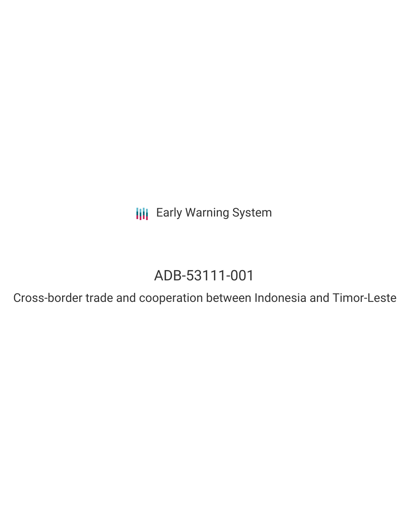**III** Early Warning System

# ADB-53111-001

Cross-border trade and cooperation between Indonesia and Timor-Leste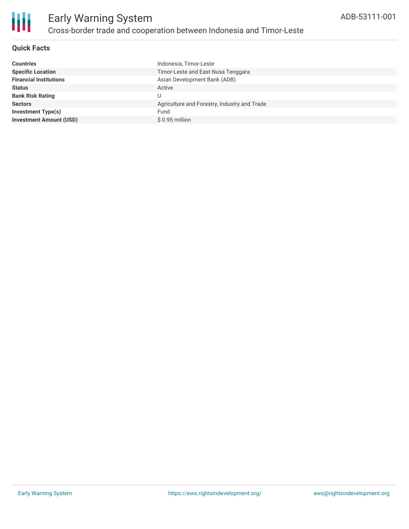

## **Quick Facts**

| <b>Countries</b>               | Indonesia, Timor-Leste                       |
|--------------------------------|----------------------------------------------|
| <b>Specific Location</b>       | Timor-Leste and East Nusa Tenggara           |
| <b>Financial Institutions</b>  | Asian Development Bank (ADB)                 |
| <b>Status</b>                  | Active                                       |
| <b>Bank Risk Rating</b>        |                                              |
| <b>Sectors</b>                 | Agriculture and Forestry, Industry and Trade |
| Investment Type(s)             | Fund                                         |
| <b>Investment Amount (USD)</b> | $$0.95$ million                              |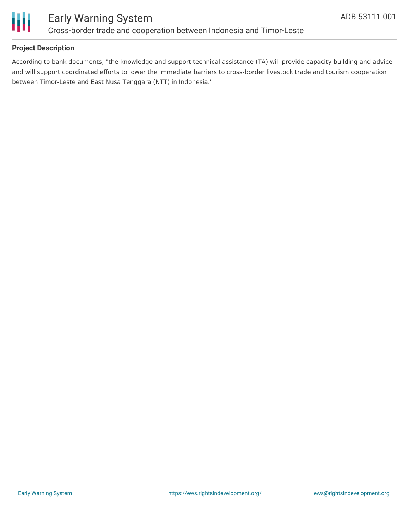

## **Project Description**

According to bank documents, "the knowledge and support technical assistance (TA) will provide capacity building and advice and will support coordinated efforts to lower the immediate barriers to cross-border livestock trade and tourism cooperation between Timor-Leste and East Nusa Tenggara (NTT) in Indonesia."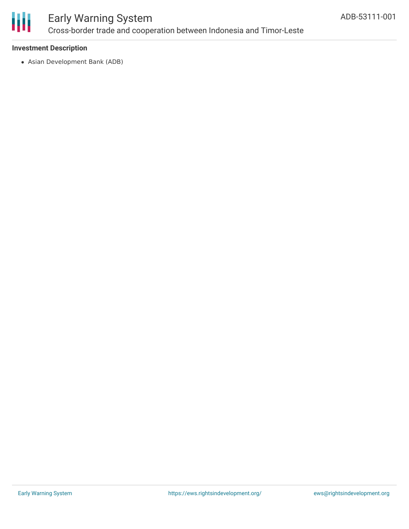

# Early Warning System Cross-border trade and cooperation between Indonesia and Timor-Leste

## **Investment Description**

Asian Development Bank (ADB)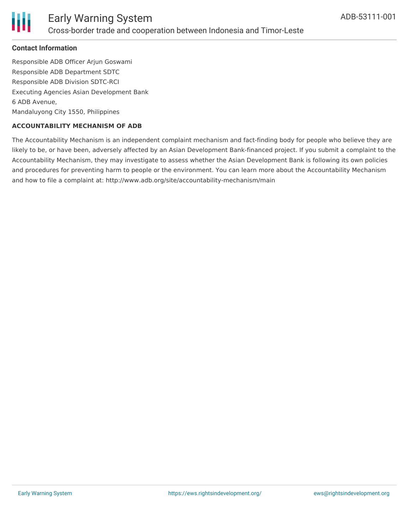

#### **Contact Information**

Responsible ADB Officer Arjun Goswami Responsible ADB Department SDTC Responsible ADB Division SDTC-RCI Executing Agencies Asian Development Bank 6 ADB Avenue, Mandaluyong City 1550, Philippines

#### **ACCOUNTABILITY MECHANISM OF ADB**

The Accountability Mechanism is an independent complaint mechanism and fact-finding body for people who believe they are likely to be, or have been, adversely affected by an Asian Development Bank-financed project. If you submit a complaint to the Accountability Mechanism, they may investigate to assess whether the Asian Development Bank is following its own policies and procedures for preventing harm to people or the environment. You can learn more about the Accountability Mechanism and how to file a complaint at: http://www.adb.org/site/accountability-mechanism/main